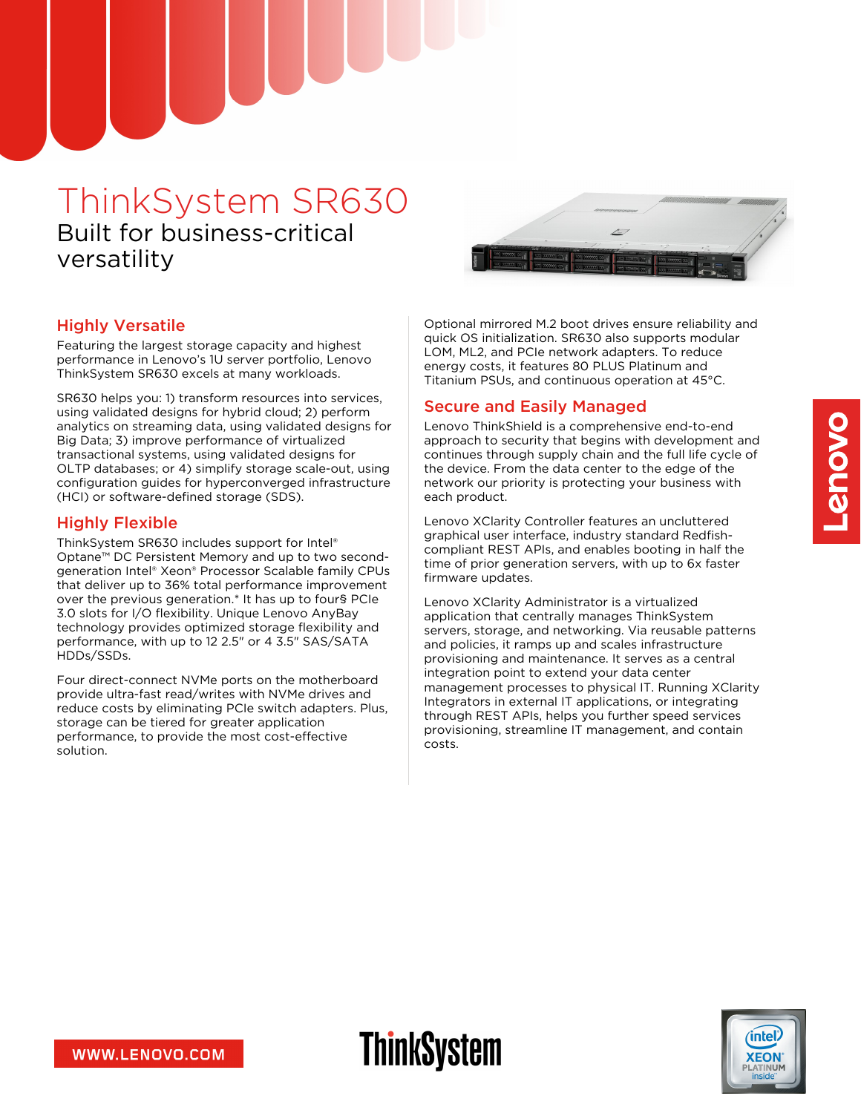# ThinkSystem SR630 Built for business-critical versatility



## Highly Versatile

Featuring the largest storage capacity and highest performance in Lenovo's 1U server portfolio, Lenovo ThinkSystem SR630 excels at many workloads.

SR630 helps you: 1) transform resources into services, using validated designs for hybrid cloud; 2) perform analytics on streaming data, using validated designs for Big Data; 3) improve performance of virtualized transactional systems, using validated designs for OLTP databases; or 4) simplify storage scale-out, using configuration guides for hyperconverged infrastructure (HCI) or software-defined storage (SDS).

### Highly Flexible

ThinkSystem SR630 includes support for Intel® Optane™ DC Persistent Memory and up to two secondgeneration Intel® Xeon® Processor Scalable family CPUs that deliver up to 36% total performance improvement over the previous generation.\* It has up to four§ PCIe 3.0 slots for I/O flexibility. Unique Lenovo AnyBay technology provides optimized storage flexibility and performance, with up to 12 2.5" or 4 3.5" SAS/SATA HDDs/SSDs.

Four direct-connect NVMe ports on the motherboard provide ultra-fast read/writes with NVMe drives and reduce costs by eliminating PCIe switch adapters. Plus, storage can be tiered for greater application performance, to provide the most cost-effective solution.

Optional mirrored M.2 boot drives ensure reliability and quick OS initialization. SR630 also supports modular LOM, ML2, and PCIe network adapters. To reduce energy costs, it features 80 PLUS Platinum and Titanium PSUs, and continuous operation at 45°C.

## Secure and Easily Managed

**ThinkSystem** 

Lenovo ThinkShield is a comprehensive end-to-end approach to security that begins with development and continues through supply chain and the full life cycle of the device. From the data center to the edge of the network our priority is protecting your business with each product.

Lenovo XClarity Controller features an uncluttered graphical user interface, industry standard Redfishcompliant REST APIs, and enables booting in half the time of prior generation servers, with up to 6x faster firmware updates.

Lenovo XClarity Administrator is a virtualized application that centrally manages ThinkSystem servers, storage, and networking. Via reusable patterns and policies, it ramps up and scales infrastructure provisioning and maintenance. It serves as a central integration point to extend your data center management processes to physical IT. Running XClarity Integrators in external IT applications, or integrating through REST APIs, helps you further speed services provisioning, streamline IT management, and contain costs.